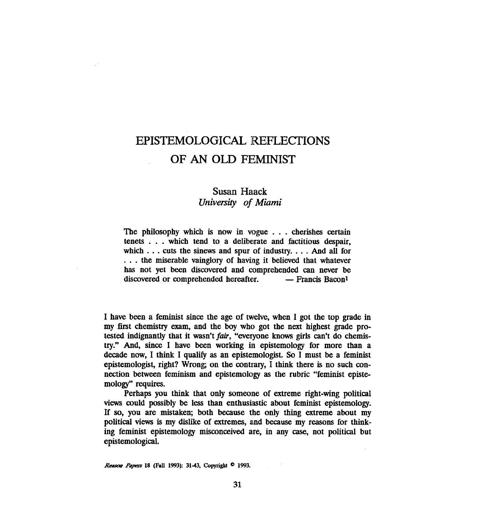## EPISTEMOLOGICAL REFLECTIONS OF AW OLD FEMINIST

## **Susan Haack**  *Univenity* **of** *Miami*

The philosophy which is now **in** vogue . . . cherishes certain tenets . . . which tend to a deliberate and factitious despair, which . . . cuts the sinews and spur of industry. . . . And all for . . . the miserable vainglory of having it believed that whatever has not yet been discovered and comprehended can never be discovered or comprehended hereafter. - Francis Bacon<sup>1</sup>

I have been a feminist since the age of twelve, when I got the top grade in my first chemistry exam, and the boy who got the next highest grade protested indignantly that it wasn't fair, "everyone knows girls can't do chemistry." And, since I have been working in epistemology for more than a decade now, I think I qualify as an epistemologist. So  $\overline{I}$  must be a feminist epistemologist, right? Wrong; on the contrary, I think there is no such connection between feminism and epistemology as the rubric "feminist epistemology" requires.

Perhaps you think that only someone of extreme right-wing political views could possibly be less than enthusiastic about feminist epistemology. If so, you are mistaken; both because the only thing extreme about my political views is my dislike of extremes, and because my reasons for think**ing** feminist epistemology misconceived are, in any case, not political but epistemological.

Reason Papers 18 (Fall 1993): 31-43, Copyright <sup>0</sup> 1993.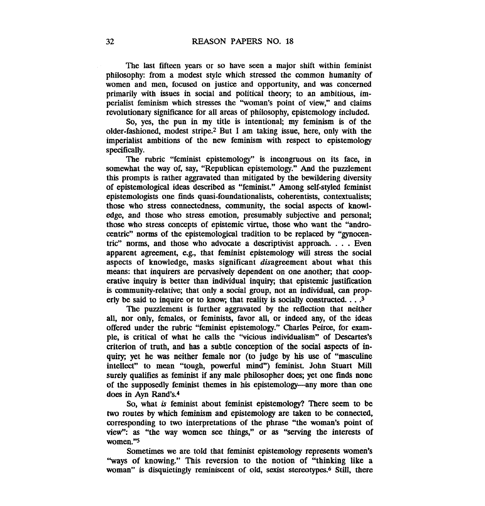The last fifteen years or so have seen a major shift within feminist philosophy: from a modest style which stressed the common humanity of women and men, focused on justice and opportunity, and was concerned primarily with issues in social and political theory; to an ambitious, imperialist feminism which stresses the "woman's point of view," and claims revolutionary significance for all areas of philosophy, epistemology included.

So, yes, the pun in my title is intentional; my feminism is of the older-fashioned, modest stripe.<sup>2</sup> But I am taking issue, here, only with the imperialist ambitions of the new feminism with respect to epistemology specifically.

The rubric "feminist epistemology" is incongruous on its face, in somewhat the way of, say, "Republican epistemology." And the puzzlement this prompts is rather aggravated than mitigated by the bewildering diversity of epistemological ideas described as "feminist." Among self-styled feminist epistemologists one **finds** quasi-foundationalists, coherentists, contextualists; those who stress connectedness, community, the social aspects of knowledge, and those who stress emotion, presumably subjective and personal; those who stress concepts of epistemic virtue, those who want the "androcentric" norms of the epistemological tradition to be replaced by "gynocentric" norms, and those who advocate a descriptivist approach. . . . Even apparent agreement, e.g., that feminist epistemology will stress the social aspects of knowledge, masks significant disagreement about what this means: that inquirers are pervasively dependent on one another; that cooperative inquiry is better than individual inquiry; that epistemic justification is community-relative; that only a social group, not an individual, can properly be said to inquire or to know; that reality is socially constructed. . . **.3** 

The puzzlement is further aggravated by the reflection that neither all, nor only, females, or feminists, favor all, or indeed any, of the ideas offered under the rubric "feminist epistemology." Charles Peirce, for example, is critical of what he calls the "vicious individualism" of Descartes's criterion of truth, and has a subtle conception of the social aspects of inquiry; yet he was neither female nor (to judge by his use of "masculine intellect" to mean "tough, powerful mind") feminist. John Stuart Mill surely qualifies **as** feminist if any male philosopher does; yet one **finds** none of the supposedly feminist themes in his epistemology--any more than one does in **Ayn** Rand's.4

So, what is feminist about feminist epistemology? There seem to be two routes by which feminism and epistemology are taken to be connected, corresponding to two interpretations of the phrase "the woman's point of view": as "the way women see things," or as "serving the interests of women."s

Sometimes we are told that feminist epistemology represents women's "ways of knowing." This reversion to the notion of "thinking like a woman" is disquietingly reminiscent of old, sexist stereotypes.<sup>6</sup> Still, there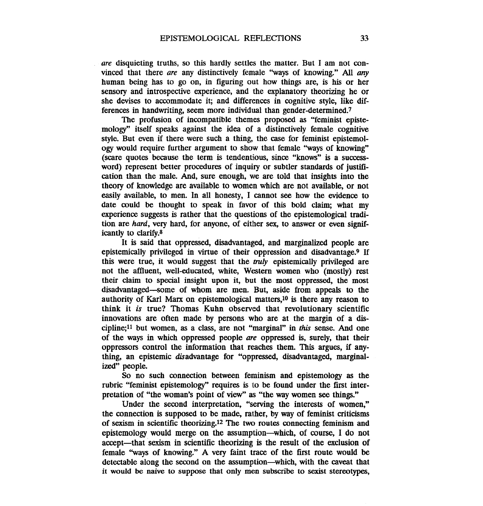are disquieting truths, so this hardly settles the matter. But I am not convinced that there are any distinctively female "ways of knowing." All any human being has to go on, in figuring out how things are, is his or her sensory and introspective experience, and the explanatory theorizing he or she devises to accommodate it; and differences in cognitive style, like differences in handwriting, seem more individual than gender-determined.7

The profusion of incompatible themes proposed as "feminist epistemology" itself speaks against the idea of a distinctively female cognitive style. But even if there were such a thing, the case for feminist epistemology would require further argument to show that female "ways of knowing" (scare quotes because the term is tendentious, since "knows" is a successword) represent better procedures of inquiry or subtler standards of justification than the male. And, sure enough, we are told that insights into the theory of knowledge are available to women which are not available, or not easily available, to men. In all honesty, I cannot see how the evidence to date could be thought to speak in favor of this bold claim, what my experience suggests is rather that the questions of the epistemological tradition are hard, very hard, for anyone, of eitber sex, to answer or even significantly to clarify.8

It is said that oppressed, disadvantaged, and marginalized people are epistemically privileged in virtue of their oppression and disadvantage.9 If this were true, it would suggest that the *miy* epistemically privileged are not the affluent, well-educated, white, Western women who (mostly) rest their claim to special insight upon it, but the most oppressed, the most disadvantaged--some of whom are men. But, aside from appeals to the authority of Karl Marx on epistemological matters,<sup>10</sup> is there any reason to think it is true? Thomas Kuhn observed that revolutionary scientific innovations are often made by persons who are at the margin of a discipline;ll but women, as a class, are not "marginal" in this sense. And one of the ways in which oppressed people are oppressed is, surely, that their oppressors control the information that reaches them. This argues, if anything, an epistemic disadvantage for "oppressed, disadvantaged, marginalized" people.

So no such connection between feminism and epistemology as the rubric "feminist epistemology" requires is to be found under the first interpretation of "the woman's point of view" **as** "the way women see things."

Under the second interpretation, "serving the interests of women," the connection is supposed to be made, rather, by way of feminist criticisms of sexism in scientific theorizing.12 The two routes connecting feminism and epistemology would merge on the assumption-which, of course, I do not accept-that sexism in scientific theorizing is the result of the exclusion of female "ways of knowing." A very faint trace of the first route would be detectable along the second on the assumption-which, with the caveat that it would be naive to suppose that only men subscribe to sexist stereotypes,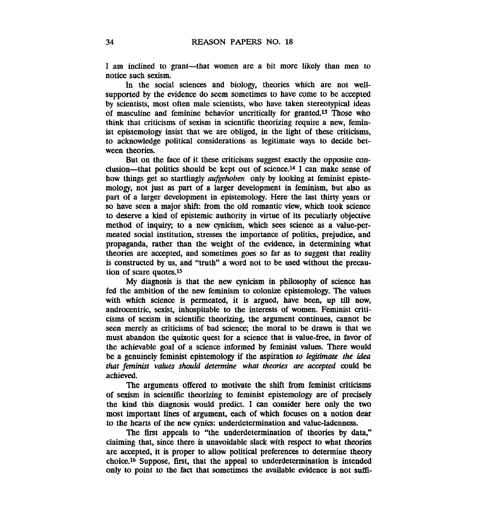I am inclined to grant---that women are a bit more likely than men to notice such sexism.

In the social sciences and biology, theories which are not wellsupported by the evidence do seem sometimes to have come to be accepted by scientists, most often male scientists, who have taken stereotypical ideas of masculine and feminine behavior uncritically for granted.<sup>13</sup> Those who think that criticisms of sexism in scientific theorizing require a new, feminist epistemology insist that we are obliged, in the light of these criticisms, to acknowledge political considerations **as** legitimate ways to decide between theories.

But on the face of it these criticisms suggest exactly the opposite conclusion-that politics should be kept out of science.14 I can make sense of how things get so startlingly *aufgehoben* only by looking at feminist epistemology, not just as part of a larger development in feminism, but also as part of a larger development in epistemology. Here the last thirty years or so have seen a major shift: from the old romantic view, which took science to deserve a kind of epistemic authority in virtue of its peculiarly objective method of inquiry; to a new cynicism, which sees science as a value-permeated social institution, stresses the importance of politics, prejudice, and propaganda, rather than the weight of the evidence, in determining what theories are accepted, and sometimes goes so far as to suggest that reality is constructed by us, and "truth" a word not to be used without the precaution of scare quotes.15

My diagnosis is that the new **cynicism** in philosophy of science has fed the ambition of the new feminism to colonize epistemology. The values with which science is permeated, it is argued, have been, up till now, androcentric, sexist, inhospitable to the interests of women. Feminist criticisms of sexism in scientific theorizing, the argument continues, cannot be **seen** merely as criticisms of bad science; the moral to be drawn is that we must abandon the quixotic quest for a science that is value-free, in favor of the achievable goal of a science informed by feminist values. There would be a genuinely feminist epistemology if the aspiration *to legitimate the idea that feminist values should determine what theories are accepted* could *be*  achieved.

The arguments offered to motivate the shift from feminist criticisms of sexism in scientific theorizing to feminist epistemology are of precisely the kind this diagnosis would predict. I can consider here only the two most important lines of argument, each of which focuses on a notion dear to the hearts of the new cynics: underdetermination and value-lademess.

The first appeals to "the underdetermination of theories by data," claiming that, since there is unavoidable slack with respect to what **theories**  are accepted, it is proper to allow political preferences to determine **theory**  choice.<sup>16</sup> Suppose, first, that the appeal to underdetermination is intended only to point to the fact that sometimes the available evidence is not suffi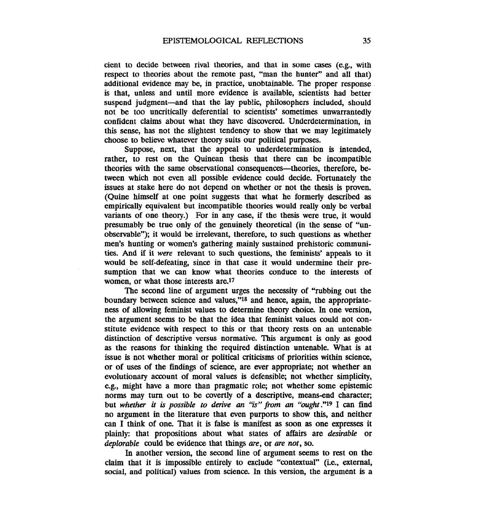cient to decide between rival theories, and that in some cases (e.g., with respect to theories about the remote past, "man the hunter" and all that) additional evidence may be, in practice, unobtainable. The proper response is that, unless and until more evidence is available, scientists had better suspend judgment-and that the lay public, philosophers included, should not be too uncritically deferential to scientists' sometimes unwarrantedly confident claims about what they have discovered. Underdetermination, in this sense, has not the slightest tendency to show that we may legitimately choose to believe whatever theory suits our political purposes.

Suppose, next, that the appeal to underdetermination is intended, rather, to rest on the Quinean thesis that there can be incompatible theories with the same observational consequences-theories, therefore, between which not even all possible evidence could decide. Fortunately the issues at stake here do not depend on whether or not the thesis is proven. (Quine himself at one point suggests that what he formerly described as empirically equivalent but incompatible theories would really only be verbal variants of one theory.) For in any case, if the thesis were true, it would presumably be true only of the genuinely theoretical (in the sense of "unobservable"); it would be irrelevant, therefore, to such questions as whether men's hunting or women's gathering mainly sustained prehistoric communities. And if it *were* relevant to such questions, the feminists' appeals to it would be self-defeating, since in that case it would undermine their presumption that we can know what theories conduce to the interests of women, or what those interests are.<sup>17</sup>

The second line of argument urges the necessity of "rubbing out the boundary between science and values," $^{18}$  and hence, again, the appropriateness of allowing feminist values to determine theory choice. In one version, the argument seems to be that the idea that feminist values could not constitute evidence with respect to this or that theory rests on an untenable distinction of descriptive versus normative. This argument is only as good as the reasons for thinking the required distinction untenable. What is at issue is not whether moral or political criticisms of priorities within science, or of uses of the findings of science, are ever appropriate; not whether an evolutionary account of moral values is defensible; not whether simplicity, e.g., might have a more than pragmatic role; not whether some epistemic norms may turn out to be covertly of a descriptive, means-end character; but *whether it* is *possible to derive an "is"* **from** *an "ought* **."I9** *I* can find no argument in the literature that even purports to show this, and neither can I think of one. That it is false is manifest as soon as one expresses it plainly: that propositions about what states of affairs are *desirable* or *&piorable* could be evidence that **things** are, or *are not,* so.

In another version, the second line of argument seems to rest on the claim that it is impossible entirely to exclude "contextual" (i.e., external, social, and political) values from science. In this version, the argument is a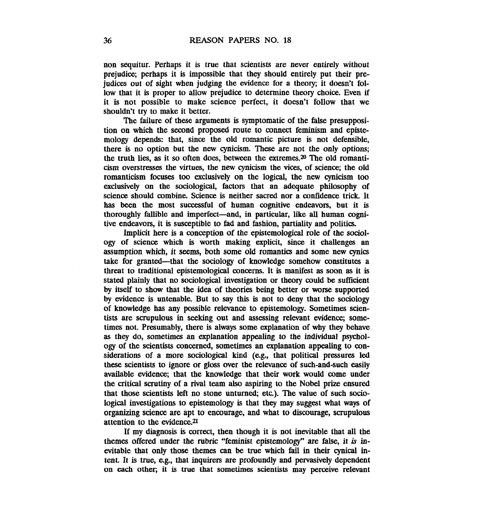non sequitur. Perhaps it is true that scientists are never entirely without prejudice; perhaps it is impossible that they should entirely put their prejudices out of sight when judging the evidence for a theory; it doesn't follow that it is proper to allow prejudice to determine theory choice. Even if it is not possible to make science perfect, it doesn't follow that we shouldn't try to make it better.

The failure of these arguments is symptomatic of the false presupposition on which the second proposed route to connect feminism and epistemology depends: that, since the old romantic picture is not defensible, there is no option but the new cynicism. These are not the only options; the truth lies, as it so often does, between the extremes. $20$  The old romanticism overstresses the virtues, the new cynicism the vices, of science; the old romanticism focuses too exclusively on the logical, the new cynicism too exclusively on the sociological, factors that an adequate philosophy of science should combine. Science is neither sacred nor a confidence trick. It has been the most successful of human cognitive endeavors, but it is thoroughly fallible and imperfect-and, in particular, like all human cognitive endeavors, it is susceptible to fad and fashion, partiality and politics.

Implicit here is a conception of the epistemological role of the sociology of science which is worth making explicit, since it challenges an assumption which, it seems, both some old romantics and some new cynics take for granted-that the sociology of knowledge somehow constitutes a threat to traditional epistemological concerns. It is manifest as soon as it is stated plainly that no sociological investigation or theory could be sufficient by itself to show that the idea of theories being better or worse supported by evidence is untenable. But to say this is not to deny that the sociology of knowledge has any possible relevance to epistemology. Sometimes scientists are scrupulous in seeking out and assessing relevant evidence; sometimes not. Presumably, there is always some explanation of why they behave as they do, sometimes an explanation appealing to the individual psychology of the scientists concerned, sometimes an explanation appealing to considerations of a more sociological kind (e.g., that political pressures led these scientists to ignore or gloss over the relevance of such-and-such easily available evidence; that the knowledge that their work would come under the critical scrutiny of a rival team also aspiring to the Nobel prize ensured that those scientists left no stone unturned, etc). The value of such sociological investigations to epistemology is that they may suggest what ways of organizing science are apt to encourage, and what to discourage, scrupulous attention to the evidence.21

If my diagnosis is correct, then though it is not inevitable that all the themes offered under the rubric "feminist epistemology" are false, it **is** inevitable that only those themes can be true which fail in their cynical intent. It is true, **e.g.,** that inquirers are profoundly and pervasively dependent on each other; it is true that sometimes scientists may perceive relevant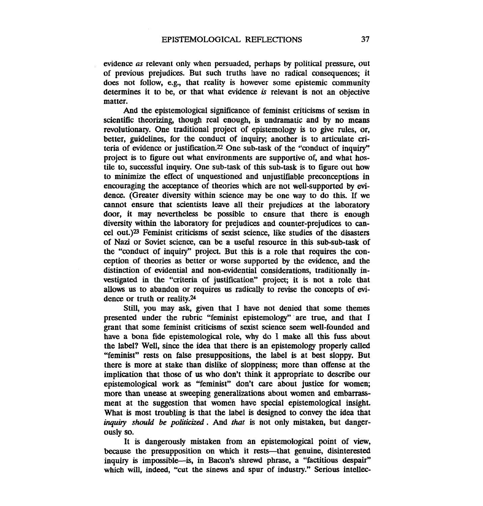evidence as relevant only when persuaded, perhaps by political pressure, out of previous prejudices. But such truths have no radical consequences; it does not follow, e.g., that reality is however some epistemic community determines it to be, or that what evidence is relevant is not an objective matter.

And the epistemological significance of feminist criticisms of sexism in scientific theorizing, though real enough, is undramatic and by no means revolutionary. One traditional project of epistemology is to give rules, or, better, guidelines, for the conduct of inquiry; another is to articulate criteria of evidence or justification.<sup>22</sup> One sub-task of the "conduct of inquiry" project is to figure out what environments are supportive of, and what hostile to, successful inquiry. One sub-task of this sub-task is to figure out how to minimize the effect of unquestioned and unjustifiable preconceptions in encouraging the acceptance of theories which are not well-supported by evidence. (Greater diversity within science may be one way to do this. If we cannot ensure that scientists leave all their prejudices at the laboratory door, it may nevertheless be possible to ensure that there is enough diversity within the laboratory for prejudices and counter-prejudices to cancel out.)23 Feminist criticisms of sexist science, like studies of the disasters of **Nazi** or Soviet science, can be a useful resource in this sub-sub-task of the "conduct of inquiry" project. But this is a role that requires the conception of theories as better or worse supported by the evidence, and the distinction of evidential and non-evidential considerations, traditionally investigated in the "criteria of justification" project; it is not a role that allows us to abandon or requires us radically to revise the concepts of **evi**dence or truth or reality.<sup>24</sup>

Still, you may ask, given that I have not denied that some themes presented under the rubric "feminist epistemology" are true, and that I grant that some feminist criticisms of sexist science seem well-founded and have a bona Ede epistemological role, why do I make all this fuss about the label? Well, since the idea that there is an epistemology properly called "feminist" rests on false presuppositions, the label is at best sloppy. But there is more at stake than dislike of sloppiness; more than offense at the implication that those of us who don't think it appropriate to describe our epistemological work as "feminist" don't care about justice for women; more than unease at sweeping generalizations about women and embarrassment at the suggestion that women have special epistemological insight. What is most troubling is that the label is designed to convey the idea that *inquiry* should be politicized. And *that* **is** not only mistaken, but dangerously so.

It is dangerously mistaken from an epistemological point of view, because the presupposition on which it rests-that genuine, disinterested inquiry is impossible-is, in Bacon's shrewd phrase, a "factitious despair" which will, indeed, "cut the sinews and spur of industry." Serious intellec-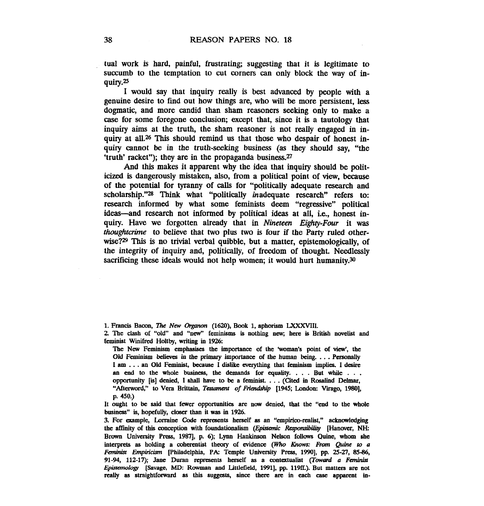tual work is hard, painful, frustrating; suggesting that it is legitimate to succumb to the temptation to cut corners can only block the way of inquiry.25

I would say that inquixy really **is** best advanced by people with a genuine desire to find out how things are, who will be more persistent, less dogmatic, and more candid than sham reasoners seeking only to make a case for some foregone conclusion; except that, since it **is** a tautology that inquiry aims at the truth, the sham reasoner is not really engaged in inquiry at all.<sup>26</sup> This should remind us that those who despair of honest inquiry cannot be in the truth-seeking business (as they should say, "the 'truth' racket"); they are in the propaganda business. $27$ 

And this makes it apparent why the idea that inquiry should be politicized is dangerously mistaken, also, from a political point of view, **because**  of the potential for tyranny of calls for "politically adequate research and scholarship."28 Think what "politically *inadequate research*" refers to: research informed by what some feminists deem "regressive" political ideas--and research not informed by political **ideas** at all, i.e., honest inquiry. Have we forgotten already that in *Nineteen Eighty-Four* it was *thoughtcrime* to believe that two plus two is four if the Party ruled otherwise?<sup>29</sup> This is no trivial verbal quibble, but a matter, epistemologically, of the integrity of inquiry and, politically, of freedom of thought. Needlessly sacrificing these ideals would not help women; it would hurt humanity.<sup>30</sup>

The New Feminism emphasises the importance of the 'woman's point of view', the Old Feminism believes in the primary importance of the human being.  $\ldots$  Personally <sup>I</sup>**am** . . . an Old Feminist, **because** I dislike everything that feminism implies. I desire an end to the whole business, the demands for equality. . . . But while . . . opportunity [is] denied, I shall have to be a feminist. . . . (Cited in Rosalind Delmar, "Afterword," to Vera Brittain, Testament of Friendship [1945; London: Virago, 1980], **p. 4%)** 

3. For example, Lorraine Code represents herself as an "empirico-realist," acknowledging the affinity of this conception with foundationalism *(Epistemic Responsibility* [Hanover, NH: **Brown** University Press, 19871, p. 6); Lynn Hankinson Nelson follows Quine, whom she interprets as holding a coherentist theory of evidence (Who **Knows:** *Fm* **Qhe to** a Feminist Empiricism [Philadelphia, PA: Temple University Press, 1990], pp. 25-27, 85-86, 91-94, 112-17); Jane Duran represents herself as a contextualist (Toward a Feminist *EphmorogV* **[Savage, MD: Rawman and Littlefield, 19911,** pp. **11901.).** But matters are not **realty as** straightfotward as **thii** suggests, since there **are in** each **case** apparent in-

<sup>1.</sup> Francis Bacon, *The New Organon* (1620), Book 1, aphorism LXXXVIII.

**<sup>2</sup>** The clash of "old" and "new" ferninisms **is** nothing new; here is British novelist and feminist Winifred Holtby, writing in 1926:

It ought to be said that fewer opportunities are now denied, that the "end to the whole business" is, hopefully, closer than it was **in** 1926.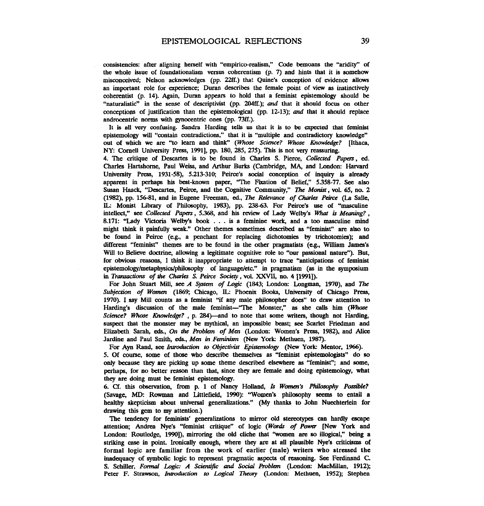consistencies: after aligning herself with "empirico-realism," Code bemoans the "aridity" of the whole issue of foundationalism versus coherentism (p. 7) and hints that it is somehow misconceived; Nelson acknowledges (pp. 22ff.) that Quine's conception of evidence allows an important role for experience; Duran describes the female point of **view** as instinctively coherentist (p. 14). Again, Duran appears to hold that a feminist epistemology should be "naturalistic" in the sense of descriptivist (pp. 204ff.); and that it should focus on other conceptions of justification than the epistemological (pp.  $12-13$ ); and that it should replace androcentric norms with gynocentric ones (pp. **73ff.).** 

It is all very confusing. Sandra Harding tells us that it is to be expected that feminist epistemology will "contain contradictions," that it is "multiple and contradictory knowledge" out of which we are "to learn and think" **(Whose** *Science? Whose Knowledge?* [Ithaca, NY: Cornell University Press, 1991], pp. 180, 285, 275). This is not very reassuring.

4. The critique of Descartes is to be found in Charles S. Pierce, *Collected Papers*, ed. Charles Hartshorne, Paul Wek, and Arthur Burks (Cambridge, MA, and London: **Haward**  University Press, 1931-58), 5.213-310; Peirce's social conception of inquiry is already apparent in perhaps his best-known paper, "The Fixation of Belief," 5.358-77. See also Susan Haack, "Descartes, Peirce, and the Cognitive Community," The Monist, vol. 65, no. 2 (1982), pp. 15681, and in Eugene Freeman, ed., **The** *Relevance of Chmk Peirce* (La Salle, **IL** Monist Library of Philosophy, 1983), pp. **238-63.** For Peirce's use of "masculine intellect," **see** *Collected* **Popas,** 5.368, and his review of Lady Welby's What **is** *Meaning?,*  8.171: "Lady Victoria Welby's book . . . is a feminine work, and a too masculine mind might think it painfully weak." Other themes sometimes described as "feminist" are also to be found in Peirce (e.g., a penchant for replacing dichotomies by trichotomies); and different "feminist" themes are to be found in the other pragmatists (e.g., William James's Will to Believe doctrine, allowing a legitimate cognitive role to "our passional nature"). But, for obvious reasons, I tbink it inappropriate to attempt to trace "anticipations of feminist epistemology/metaphysics/philosophy of language/etc." in pragmatism (as in the symposium in *Transactions* of the Charles *S. Peirce Society* , vol. XXVII, no. 4 [1991]).

For John Stuart Mill, see *A System of Logic* (1843; London: Longman, 1970), and The *Subjecfion of Worn* (1869; Chicago, **IL** Phoenix Books, University of Chicago Press, 1970). I say Mill counts as a feminist "if any male philosopher does" to draw attention to Harding's discussion of the male feminist-"The Monster," as she calls him (Whose *Science? Whose Knowledge?*, p. 284)—and to note that some writers, though not Harding, suspect that the monster may be mythical, an impossible beast; **see** Scarlet Friedman and Elizabeth Sarah, eds., *On the Problem of Men* (London: Women's Press, 1982), and Alice Jardine and Paul Smith, eds., *Men in Feminism* (New York: Methuen, 1987).

For Ayn Rand, see *Introduction to Objectivist Epistemology* (New York: Mentor, 1966). 5. Of course, some of those who describe themselves as "feminist epistemologists" do so only **because** they are picking up some theme described elsewhere as "feminist"; and some, perhaps, for no better reason than that, since they are female and doing epistemology, what they are doing must be feminist epistemology.

6. **Cf. this** observation, from p. 1 of Nancy Holland, Is *Women's Phhophy Possible?*  (Savage, **MD: Rowman** and Littlefield, 1990): "Women's philosophy **seems** to entail a healthy skepticism about universal generalizations!' (My thanks to John Nuechterlein for drawing this gem to **my** attention.)

The tendency for feminists' generalizations to mirror old stereotypes can hardly escape attention; Andrea Nye's "feminist critique" of logic *(Wmcls of Power* **[New** York and London: Routledge, 1990]), mirroring the old cliche that "women are so illogical," being a striking **case** in point. Ironically enough, where they are at all plausible Nye's criticisms of formal logic are familiar from the work of earlier (male) writers who stressed the inadequacy of symbolic logic to represent pragmatic aspects of reasoning. **See** Ferdinand **C**  S. Schiller, *Formal Logic: A Scientific and Social Problem* (London: MacMillan, 1912); Peter F. Strawson, *Introduction to Logical Theory* (London: Methuen, 1952); Stephen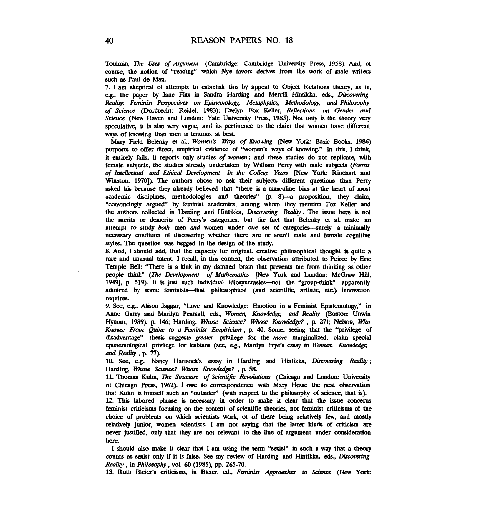Toulmin, *The* **Uses** *of Argument* (Cambridge: Cambridge University Press, 1958). And, of course, the notion of "reading" which Nye favors derives from the work of male writers such as Paul de Man.

7. I am skeptical of attempts to establish this **by** appeal to Object Relations theory, as in, cg., the paper **by** Jane Flax in Sandra Harding and Merrill Hintikka, **eds.,** *Dircovaing Realiry: Fanhist Perspectives* on *Episemologv, Metaphysics, Methodology,* and *Philosophy of Science* (Dordrecht: Reidel, 1983); Evelyn Fox Keller, *Reflections on Gender and Science* **(New** Haven and London: Yale University Press, 1985). **Not** only is the theory very speculative, it is **also** very vague, and its pertinence to the claim that women have different ways of knowing than men is tenuous at best.

Mary Field Belenky et al., *Women's Ways of Knowing* (New York: Basic Books, 1986) purports to offer direct, empirical evidence of "women's ways of knowing." In this, I think, it entirely fails. It reports only studies *of women* ; and these studies do not replicate, with female subjects, the studies already undertaken by William Perry with male subjects (Forms of *InreUcctwl* and **Ethical** *Development* **in** *the* **College Ym [New** York: Rinehart and Winston, 1970]). The authors chose to ask their subjects different questions than Perry asked his because they already believed that "there is a masculine bias at the heart of most academic disciplines, methodologies and theories" (p. 8)—a proposition, they claim, "convincingly argued" **by** feminist academics, among whom they mention **Fox** Keller and the authors collected in Hardiig and Hintikka, **Discovering** Reality. The issue here is not the merits or demerits of Peny's categories, but the fact that Belenky et al. make no attempt to study both men and women under **one** set of categories-surely a minimally necessary condition of discovering whether there are or aren't male and female cognitive styles. The question was begged in the design of the study.

8. And, I should add, that the capacity for original, creative philosophical thought is quite a rare and unusual talent. I recall, in this context, the obsewation attributed to Peirce by Eric Temple Bell: "There is a kink in my damned brain that prevents me from thinking as other people think" (The Development of Mathematics [New York and London: McGraw Hill, 1949], p. 519). It is just such individual idiosyncrasies—not the "group-think" apparently admired by some feminists-that phiiosophial (and scientific, artistic, etc) innovation requires.

9. See, e.g., Alison Jaggar, "Love and Knowledge: Emotion in a Feminist Epistemology," in Anne Garry and Marilyn Pearsall, eds., Women, Knowledge, and Reality (Boston: Unwin Hyman, 1989), p. 146; Harding, **Whose** *Science? Wh0.w Knowk&z?* , p. 271; Nelson, Who *Knows: From* **Quine** *w a Feminist Empiricism,* p. *40.* Some, seeing that the "privilege of disadvantage" thesis suggests **greater** privilege for the *more* marginalized, claim special epistemological privilege for lesbians (see, e.g., Marilyn Frye's essay in Women, Knowledge, and Reality, p. 77).

10. See, e.g., Nancy Hartsock's essay in Harding and Hintikka, *Discovering Reality*; Harding, Whose Science? Whose Knowledge? , p. 58.

11. Thomas Kuhn, The Structure of Scientific Revolutions (Chicago and London: University of Chicago Press, 1962). I **owe** to comspondence with Mary Hesse the neat observation that **Kuhn** is himself such an "outsider" (with respect to the philosophy of science, that is).

12 **This** labored phrase is necessary in order to make it clear that the issue concerns feminist criticisms focusing on the content of scientific theories, not feminist criticisms of the choice of problems on which scientists work, or of there being relatively few, and mostly relatively junior, women scientists. I am not **saying** that the latter **kinds** of criticism are never justified, only that they **are** not relevant to the line of argument under consideration here.

I should **also** make it clear that I am using the term "sexist" in such a way that a themy counts as sexist only if it is false. See my review of Harding and Hintikka, eds., Discovering *Reality*, in *Philosophy*, vol. 60 (1985), pp. 265-70.

13. Ruth Bleier's criticisms, in Bleier, ed., *Faninkt* **Approadus to Science (New** Yo&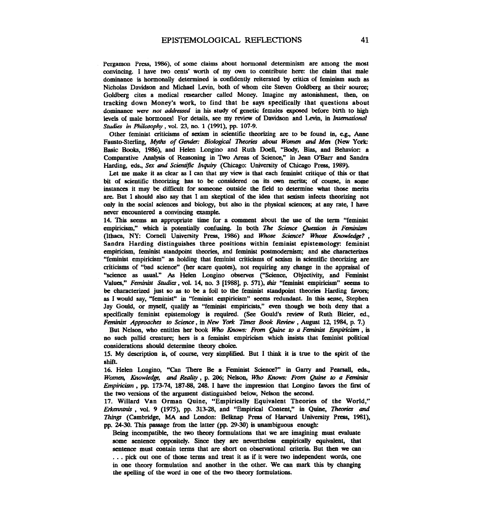Pergamon Press, 1986), of some claims about hormonal determinism are among the most convincing. I have two cents' worth of my own to contribute here: the claim that male dominance is hormonally determined is confidently reiterated by critics of feminism such as Nicholas Davidson and Michael **Levin,** both of whom cite Steven Goldberg as their source; Goldberg cites a medical researcher called Money. Imagine **my** astonishment, then, on tracking down Money's work, to find that he says specifically that questions about dominance were not addressed in his study of genetic females exposed before birth to high levels of male hormones! For details, see my review of Davidson and Levin, in *International* Studies in *Philosophy*, vol. 23, no. 1 (1991), pp. 107-9.

Other feminist criticisms of sexism in scientific theorizing **are** to be found in, e.g., Anne Fausto-Sterling, *Myths of Gender: Biological Theories about Women and Men (New York:* Basic Books, 1986), and Helen Longino and Ruth Doell, "Body, **Bias,** and Behavior: a Comparative Analysis of Reasoning in Two Areas of Science," in Jean O'Barr and Sandra Harding, eds., *Sex and Scientific Inquiry* (Chicago: University of Chicago Press, 1989).

Let me make it as clear as I can that **my** view is that each feminist critique of this or that bit of scientific theorizing has to be considered ton its **awn** merits; of course, in some instances it may be difficult for someone outside the field to determine what those merits **are.** But I should also say that 1 am skeptical of the idea that sexism infects theorizing not only in the social sciences and biology, but **also** in the physical sciences; at any rate, I have never encountered a convincing example.

14. This **seems** an appropriate time for a comment about the **use** of the term "feminist empiricism," which is potentially confusing. In both *The Science Question in Feminism* (Ithaca, NY: Cornell University Press, 1986) and *Whose Science? Whose Knowledge?*, Sandra Harding distinguishes three positions within feminist epistemology: feminist empiricism, feminist standpoint theories, and feminist postmodernism; and she characterizes "feminist empiricism" as holding that feminist criticisms of sexism in scientific theorizing are criticisms of "bad science" (her scare quotes), not requiring any change in the appraisal of "science as usual." **As** Helen Longino observes ("Science, Objectivity, and Feminist Values," *Feminisf* **Snrdiw** , vol. 14, no. 3 [1988], p. 571), **rhir** "feminist empiricism" seems to be characterized just so as to be a foil to the feminist standpoint theories Harding favors; as I would say, "feminist" in "feminist empiricism" **seems** redundant. In **this sense,** Stephen Jay Gould, or myself, quality as "feminist empiricists," even though we both deny that a specifically feminist epistemology is required. (See Gould's review of Ruth Bleier, ed., **Feminist** *Appmachcr* to **Science,** in **New York** *Times* Book Review, August 12,1984, p. 7.)

But Nelson, who entitles her book *Who Knows: From Quine to a Feminist Empiricism*, is no such pallid creature; hers is a feminist empiricism which insists that feminist political considerations should determine theory choice.

15. My description is, of **course,** very simplied. But I think it is true to the spirit of the shift.

16. Helen Longino, **"Can** There Be a Feminist Science?" in **Garry** and **Peamall, eds., Women,** *Knowledge,* **and** Reality, p. 206; Nelson, Who Knows: *From* Quine to a *Fminh*  Empiricism, pp. 173-74, 187-88, 248. I have the impression that Longino favors the first of the two versions of the argument distinguished below. Nelson the second.

17. Willard Van Orman Quine, "Empirically Equivalent Theories of the World," Erkenntnis , vol. 9 (1975), pp. 313-28, and "Empirical Content," in Quine, Theories and **Things** (Cambridge, MA and London: Belknap **Press** of **Harvard** University **Press,** 1981), pp.  $24-30$ . This passage from the latter (pp.  $29-30$ ) is unambiguous enough:

Being incompatible, the two theory fonnulations that we are imagining must evaluate some sentence oppositely. Since they **are** nevertheless empirically equivalent, that sentence must contain terms that **are** short on observational **criteria.** But then we **can**  . . . pick out one of those terms and treat it as if it were two independent **words,** one in one theory formulation and another in the other. We **can mark this** by changing the spelling of the word in one of the two theory formulations.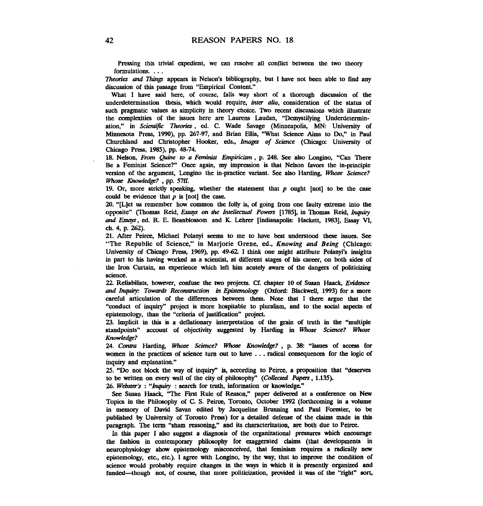Pressing this trivial expedient, we **can** resolve all conflict between the two theory formulations. . . .

**%ones and Things** appears in Nelson's bibliography, but I have not been able to find any discussion of this passage from "Empirical Content."

What I have said here, of course, falls **way** short of a thorough discussion of the underdetermination thesis, which would require, *inter alia*, consideration of the status of such pragmatic values as simplicity in theory choice. Two recent discussions which illustrate the complexities of the issues here are **Laurens** Laudan, "Demystifying Underdetennination," in *Scientific Theories*, ed. C. Wade Savage (Minneapolis, MN: University of Minnesota Press, 1990). pp. 267-97, and Brian Ellis, "What Science Aims to Do," in Paul Churchland and Christopher Hooker, eds., *Images of Science* (Chicago: University of Chicago Press, 1985), pp. 48-74.

18. Nelson, From Quine to a Feminist Empiricism, p. 248. See also Longino, "Can There Be a Feminist Science?" Once again, my impression is that Nelson favors the in-principle version of the argument, Longino the in-practioe variant. **See** also Harding, Whose *Science? Wwse KnowIea@z?* , pp. **57ff.** 

19. Or, more strictly speaking, whether the statement that p ought [not] to be the **case**  could be evidence that p is [not] the **case.** 

**2).** "[Llet us remember how common the folly is, of going from one faulty extreme into the opposite" (Thomas Reid, *Esrays on* the *Imelfecaual Powas* [1785], in Thomas Reid, *Inquly and Esqs,* **ed.** R. E. Beanblossom and K. **Lehrer** [Indianapolis: Hackett, 1984, Essay **VI, Ch.** 4, p. 262).

21. After Peirce, Michael Polanyi **seems** to me to have **best** understood these issues. **See**  "The Republic of Science," in Marjorie Grene, ed., *Knowing* **and** *Being* (Chicago: University of Chicago Press, 1969), pp. 49-62. I think one might attribute Polanyi's insights in part to his having worked as a scientist, at different stages of his career, on both sides of the Iron Curtain, an experience which left him acutely aware of the dangers of politicizing science.

**2** Reliabiits, however, confuse the two projects. **Cf.** chaptee PO of Susan Haack, *Evidarce*  and *Inquiry: Towards Reconstruction in Epistemology* (Oxford: Blackwell, 1993) for a more careful articulation of the differences between them. Note that I there argue that the "conduct of inquiry" project is more hospitable to pluralism, and to the social aspects of epistemology, than the "criteria of justification" project.

23. Implicit in this is a deflationary interpretation of the **grain** of truth in the "multiple standpoints" account of objectivity suggested by Harding in Whose Science? Whose **KnowIcdge?** 

24. Contra Harding, Whose Science? Whose Knowledge?, p. 38: "Issues of access for women in the practices of science turn out to have . . . **radical** consequences for the logic of inquiry and explanation."

25. "Do not block the way of inquiry" is, according to Peirce, a proposition that "deserves" to **be** written on every wall of the city of philosophy" *(Collected* Papers , 1.135).

26. Webster's: "Inquiry: search for truth, information or knowledge."

See Susan Haack, "The First Rule of Reason," paper delivered at a conference on New Topics in the Philosophy of **C** S. Peirce, Toronto, October 1992 (forthcoming in a volume in memory of David Savan edited by Jacqueline Brunning and Paul Forester, to be published by University of Toronto Press) for a detailed defense of the claims made in this paragraph. The term "sham reasoning," and its characterization, are both due to Peirce.

In this paper I also suggest a diagnosis of the organizational pressures which encourage the fashion in contemporary philosophy for exaggerated claims (that developments in nemphysiology show epistemology misconceived, that feminism requires a radically new epistemology, etc, etc.). I agree with Longino, by the way, that to improve the condition of science would probably **require** changes in the ways in which it is presently organized and funded--though not, of course, that more politicization, provided it was of the "right" sort,